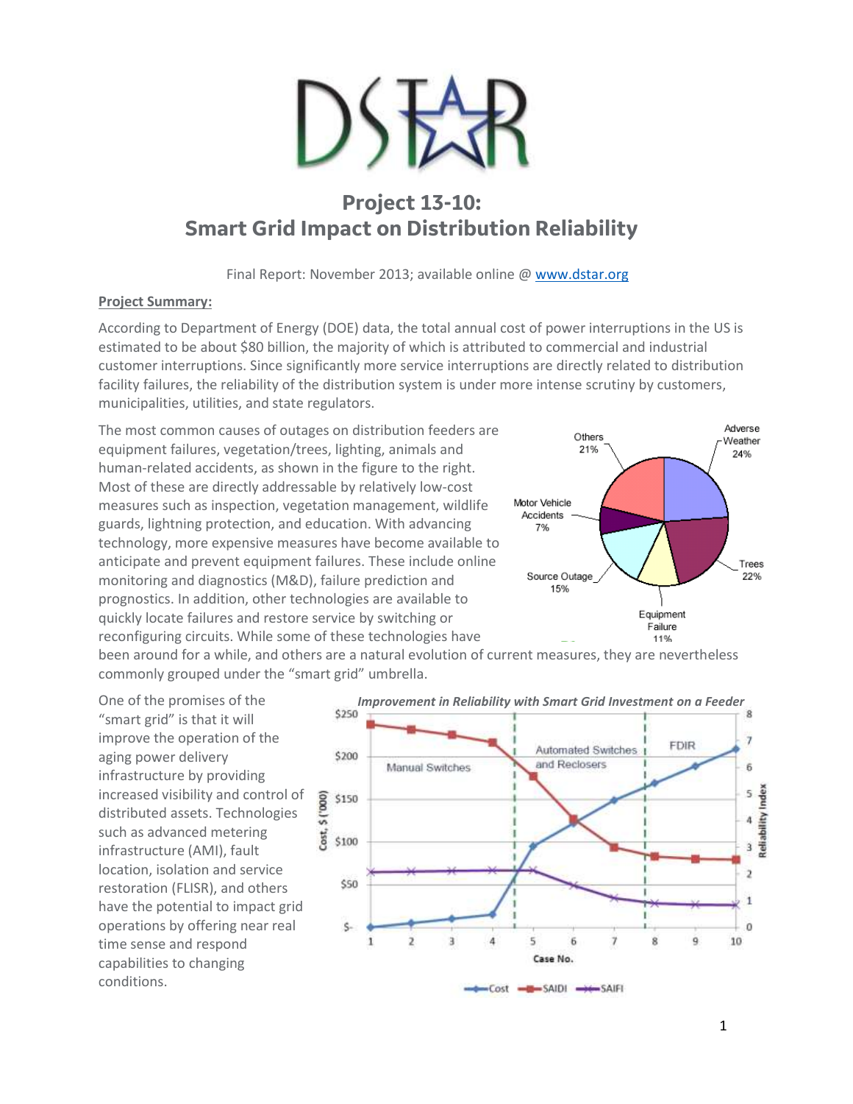

## **Project 13-10: Smart Grid Impact on Distribution Reliability**

Final Report: November 2013; available online [@ www.dstar.org](http://www.dstar.org/research/project/94/P13-10-smart-grid-impact-on-distribution-reliability)

## **Project Summary:**

According to Department of Energy (DOE) data, the total annual cost of power interruptions in the US is estimated to be about \$80 billion, the majority of which is attributed to commercial and industrial customer interruptions. Since significantly more service interruptions are directly related to distribution facility failures, the reliability of the distribution system is under more intense scrutiny by customers, municipalities, utilities, and state regulators.

The most common causes of outages on distribution feeders are equipment failures, vegetation/trees, lighting, animals and human-related accidents, as shown in the figure to the right. Most of these are directly addressable by relatively low-cost measures such as inspection, vegetation management, wildlife guards, lightning protection, and education. With advancing technology, more expensive measures have become available to anticipate and prevent equipment failures. These include online monitoring and diagnostics (M&D), failure prediction and prognostics. In addition, other technologies are available to quickly locate failures and restore service by switching or reconfiguring circuits. While some of these technologies have



been around for a while, and others are a natural evolution of current measures, they are nevertheless commonly grouped under the "smart grid" umbrella.

One of the promises of the "smart grid" is that it will improve the operation of the aging power delivery infrastructure by providing increased visibility and control of distributed assets. Technologies such as advanced metering infrastructure (AMI), fault location, isolation and service restoration (FLISR), and others have the potential to impact grid operations by offering near real time sense and respond capabilities to changing conditions.